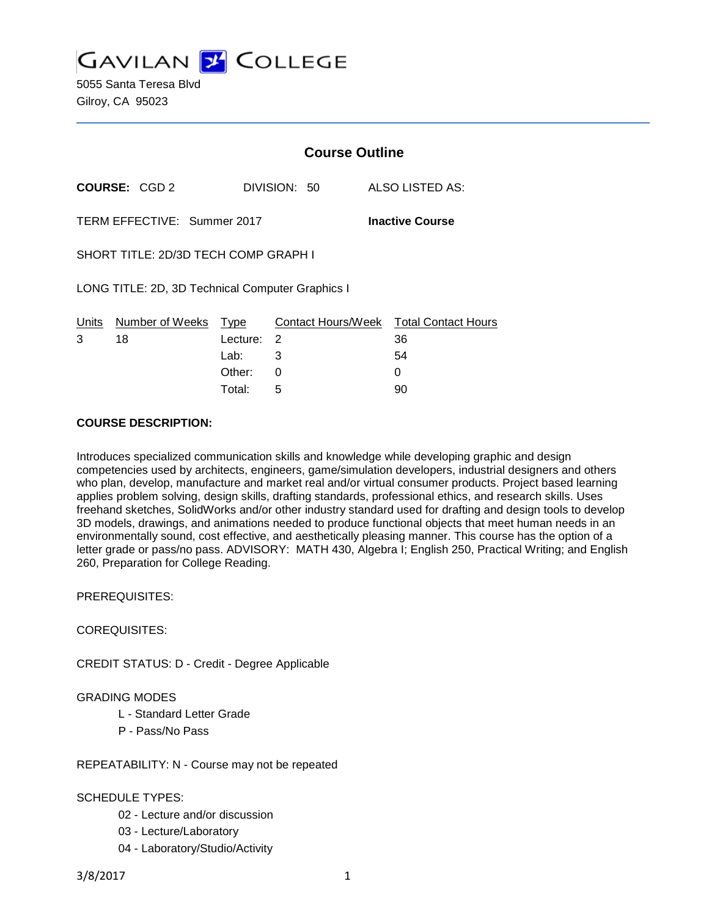**GAVILAN J COLLEGE** 

5055 Santa Teresa Blvd Gilroy, CA 95023

|                                                       |                      | <b>Course Outline</b> |              |                                        |
|-------------------------------------------------------|----------------------|-----------------------|--------------|----------------------------------------|
|                                                       | <b>COURSE: CGD 2</b> |                       | DIVISION: 50 | ALSO LISTED AS:                        |
| TERM EFFECTIVE: Summer 2017<br><b>Inactive Course</b> |                      |                       |              |                                        |
| SHORT TITLE: 2D/3D TECH COMP GRAPH I                  |                      |                       |              |                                        |
| LONG TITLE: 2D, 3D Technical Computer Graphics I      |                      |                       |              |                                        |
| Units                                                 | Number of Weeks Type |                       |              | Contact Hours/Week Total Contact Hours |
| 3                                                     | 18                   | Lecture:              | 2            | 36                                     |
|                                                       |                      | Lab:                  | 3            | 54                                     |
|                                                       |                      | Other:                | 0            | 0                                      |
|                                                       |                      | Total:                | 5            | 90                                     |

#### **COURSE DESCRIPTION:**

Introduces specialized communication skills and knowledge while developing graphic and design competencies used by architects, engineers, game/simulation developers, industrial designers and others who plan, develop, manufacture and market real and/or virtual consumer products. Project based learning applies problem solving, design skills, drafting standards, professional ethics, and research skills. Uses freehand sketches, SolidWorks and/or other industry standard used for drafting and design tools to develop 3D models, drawings, and animations needed to produce functional objects that meet human needs in an environmentally sound, cost effective, and aesthetically pleasing manner. This course has the option of a letter grade or pass/no pass. ADVISORY: MATH 430, Algebra I; English 250, Practical Writing; and English 260, Preparation for College Reading.

PREREQUISITES:

COREQUISITES:

CREDIT STATUS: D - Credit - Degree Applicable

#### GRADING MODES

- L Standard Letter Grade
- P Pass/No Pass
- REPEATABILITY: N Course may not be repeated

#### SCHEDULE TYPES:

- 02 Lecture and/or discussion
- 03 Lecture/Laboratory
- 04 Laboratory/Studio/Activity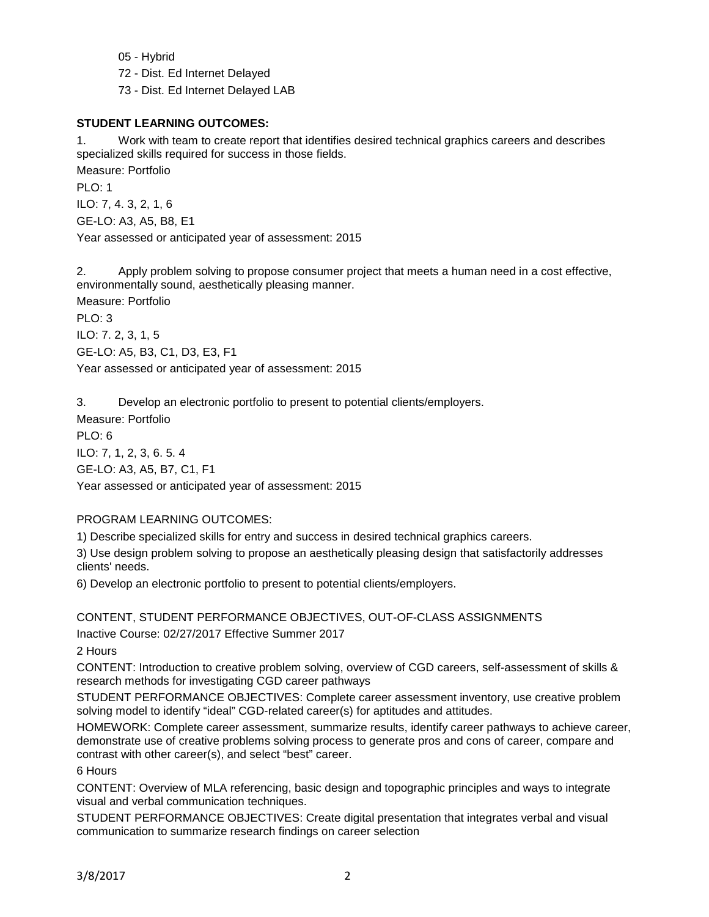05 - Hybrid

72 - Dist. Ed Internet Delayed

73 - Dist. Ed Internet Delayed LAB

# **STUDENT LEARNING OUTCOMES:**

1. Work with team to create report that identifies desired technical graphics careers and describes specialized skills required for success in those fields.

Measure: Portfolio PLO: 1 ILO: 7, 4. 3, 2, 1, 6 GE-LO: A3, A5, B8, E1 Year assessed or anticipated year of assessment: 2015

2. Apply problem solving to propose consumer project that meets a human need in a cost effective, environmentally sound, aesthetically pleasing manner.

Measure: Portfolio PLO: 3 ILO: 7. 2, 3, 1, 5 GE-LO: A5, B3, C1, D3, E3, F1 Year assessed or anticipated year of assessment: 2015

3. Develop an electronic portfolio to present to potential clients/employers.

Measure: Portfolio PLO: 6 ILO: 7, 1, 2, 3, 6. 5. 4 GE-LO: A3, A5, B7, C1, F1

Year assessed or anticipated year of assessment: 2015

# PROGRAM LEARNING OUTCOMES:

1) Describe specialized skills for entry and success in desired technical graphics careers.

3) Use design problem solving to propose an aesthetically pleasing design that satisfactorily addresses clients' needs.

6) Develop an electronic portfolio to present to potential clients/employers.

CONTENT, STUDENT PERFORMANCE OBJECTIVES, OUT-OF-CLASS ASSIGNMENTS

Inactive Course: 02/27/2017 Effective Summer 2017

2 Hours

CONTENT: Introduction to creative problem solving, overview of CGD careers, self-assessment of skills & research methods for investigating CGD career pathways

STUDENT PERFORMANCE OBJECTIVES: Complete career assessment inventory, use creative problem solving model to identify "ideal" CGD-related career(s) for aptitudes and attitudes.

HOMEWORK: Complete career assessment, summarize results, identify career pathways to achieve career, demonstrate use of creative problems solving process to generate pros and cons of career, compare and contrast with other career(s), and select "best" career.

6 Hours

CONTENT: Overview of MLA referencing, basic design and topographic principles and ways to integrate visual and verbal communication techniques.

STUDENT PERFORMANCE OBJECTIVES: Create digital presentation that integrates verbal and visual communication to summarize research findings on career selection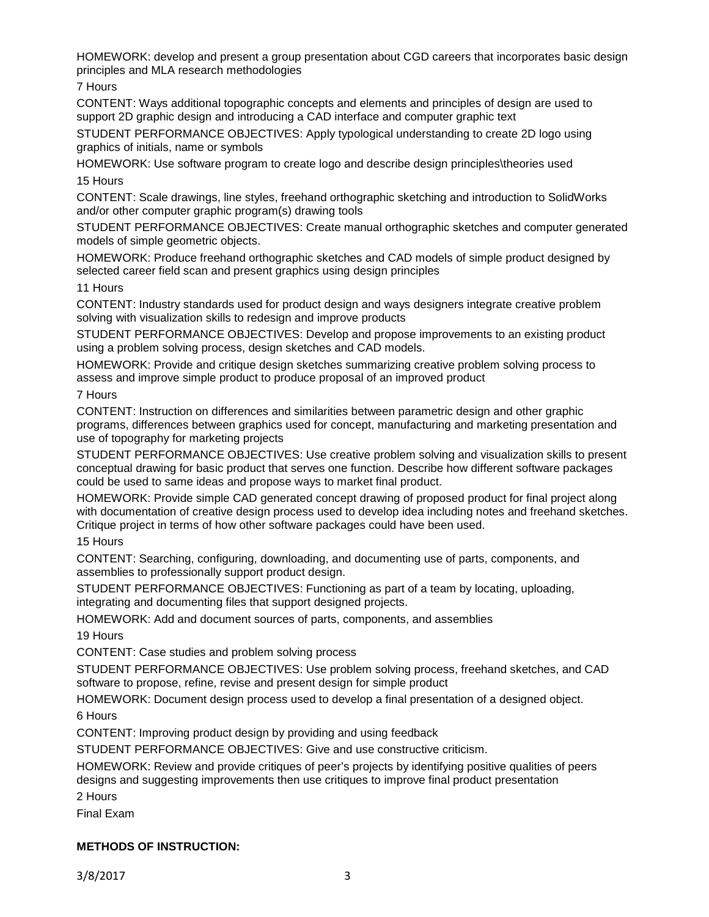HOMEWORK: develop and present a group presentation about CGD careers that incorporates basic design principles and MLA research methodologies

7 Hours

CONTENT: Ways additional topographic concepts and elements and principles of design are used to support 2D graphic design and introducing a CAD interface and computer graphic text

STUDENT PERFORMANCE OBJECTIVES: Apply typological understanding to create 2D logo using graphics of initials, name or symbols

HOMEWORK: Use software program to create logo and describe design principles\theories used 15 Hours

CONTENT: Scale drawings, line styles, freehand orthographic sketching and introduction to SolidWorks and/or other computer graphic program(s) drawing tools

STUDENT PERFORMANCE OBJECTIVES: Create manual orthographic sketches and computer generated models of simple geometric objects.

HOMEWORK: Produce freehand orthographic sketches and CAD models of simple product designed by selected career field scan and present graphics using design principles

### 11 Hours

CONTENT: Industry standards used for product design and ways designers integrate creative problem solving with visualization skills to redesign and improve products

STUDENT PERFORMANCE OBJECTIVES: Develop and propose improvements to an existing product using a problem solving process, design sketches and CAD models.

HOMEWORK: Provide and critique design sketches summarizing creative problem solving process to assess and improve simple product to produce proposal of an improved product

#### 7 Hours

CONTENT: Instruction on differences and similarities between parametric design and other graphic programs, differences between graphics used for concept, manufacturing and marketing presentation and use of topography for marketing projects

STUDENT PERFORMANCE OBJECTIVES: Use creative problem solving and visualization skills to present conceptual drawing for basic product that serves one function. Describe how different software packages could be used to same ideas and propose ways to market final product.

HOMEWORK: Provide simple CAD generated concept drawing of proposed product for final project along with documentation of creative design process used to develop idea including notes and freehand sketches. Critique project in terms of how other software packages could have been used.

15 Hours

CONTENT: Searching, configuring, downloading, and documenting use of parts, components, and assemblies to professionally support product design.

STUDENT PERFORMANCE OBJECTIVES: Functioning as part of a team by locating, uploading, integrating and documenting files that support designed projects.

HOMEWORK: Add and document sources of parts, components, and assemblies

19 Hours

CONTENT: Case studies and problem solving process

STUDENT PERFORMANCE OBJECTIVES: Use problem solving process, freehand sketches, and CAD software to propose, refine, revise and present design for simple product

HOMEWORK: Document design process used to develop a final presentation of a designed object.

6 Hours

CONTENT: Improving product design by providing and using feedback

STUDENT PERFORMANCE OBJECTIVES: Give and use constructive criticism.

HOMEWORK: Review and provide critiques of peer's projects by identifying positive qualities of peers designs and suggesting improvements then use critiques to improve final product presentation

2 Hours

Final Exam

# **METHODS OF INSTRUCTION:**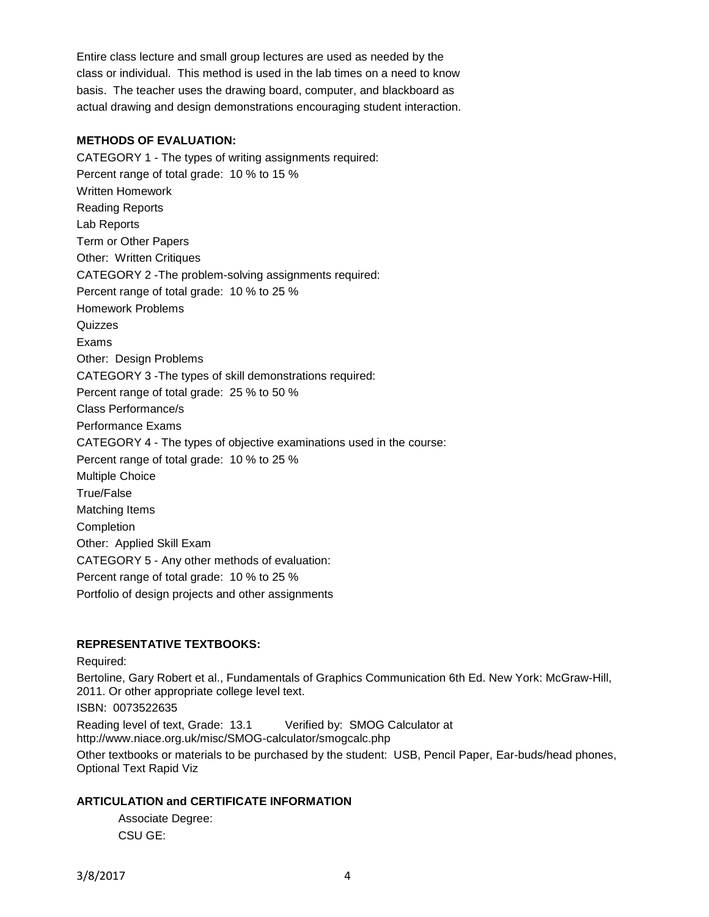Entire class lecture and small group lectures are used as needed by the class or individual. This method is used in the lab times on a need to know basis. The teacher uses the drawing board, computer, and blackboard as actual drawing and design demonstrations encouraging student interaction.

#### **METHODS OF EVALUATION:**

CATEGORY 1 - The types of writing assignments required: Percent range of total grade: 10 % to 15 % Written Homework Reading Reports Lab Reports Term or Other Papers Other: Written Critiques CATEGORY 2 -The problem-solving assignments required: Percent range of total grade: 10 % to 25 % Homework Problems **Quizzes** Exams Other: Design Problems CATEGORY 3 -The types of skill demonstrations required: Percent range of total grade: 25 % to 50 % Class Performance/s Performance Exams CATEGORY 4 - The types of objective examinations used in the course: Percent range of total grade: 10 % to 25 % Multiple Choice True/False Matching Items Completion Other: Applied Skill Exam CATEGORY 5 - Any other methods of evaluation: Percent range of total grade: 10 % to 25 % Portfolio of design projects and other assignments

# **REPRESENTATIVE TEXTBOOKS:**

Required:

Bertoline, Gary Robert et al., Fundamentals of Graphics Communication 6th Ed. New York: McGraw-Hill, 2011. Or other appropriate college level text. ISBN: 0073522635 Reading level of text, Grade: 13.1 Verified by: SMOG Calculator at http://www.niace.org.uk/misc/SMOG-calculator/smogcalc.php Other textbooks or materials to be purchased by the student: USB, Pencil Paper, Ear-buds/head phones, Optional Text Rapid Viz

#### **ARTICULATION and CERTIFICATE INFORMATION**

Associate Degree: CSU GE: